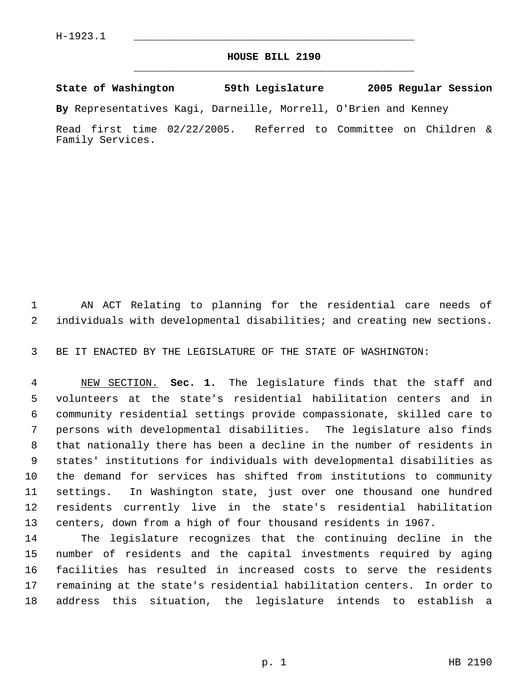## **HOUSE BILL 2190** \_\_\_\_\_\_\_\_\_\_\_\_\_\_\_\_\_\_\_\_\_\_\_\_\_\_\_\_\_\_\_\_\_\_\_\_\_\_\_\_\_\_\_\_\_

**State of Washington 59th Legislature 2005 Regular Session**

**By** Representatives Kagi, Darneille, Morrell, O'Brien and Kenney

Read first time 02/22/2005. Referred to Committee on Children & Family Services.

 AN ACT Relating to planning for the residential care needs of individuals with developmental disabilities; and creating new sections.

BE IT ENACTED BY THE LEGISLATURE OF THE STATE OF WASHINGTON:

 NEW SECTION. **Sec. 1.** The legislature finds that the staff and volunteers at the state's residential habilitation centers and in community residential settings provide compassionate, skilled care to persons with developmental disabilities. The legislature also finds that nationally there has been a decline in the number of residents in states' institutions for individuals with developmental disabilities as the demand for services has shifted from institutions to community settings. In Washington state, just over one thousand one hundred residents currently live in the state's residential habilitation centers, down from a high of four thousand residents in 1967.

 The legislature recognizes that the continuing decline in the number of residents and the capital investments required by aging facilities has resulted in increased costs to serve the residents remaining at the state's residential habilitation centers. In order to address this situation, the legislature intends to establish a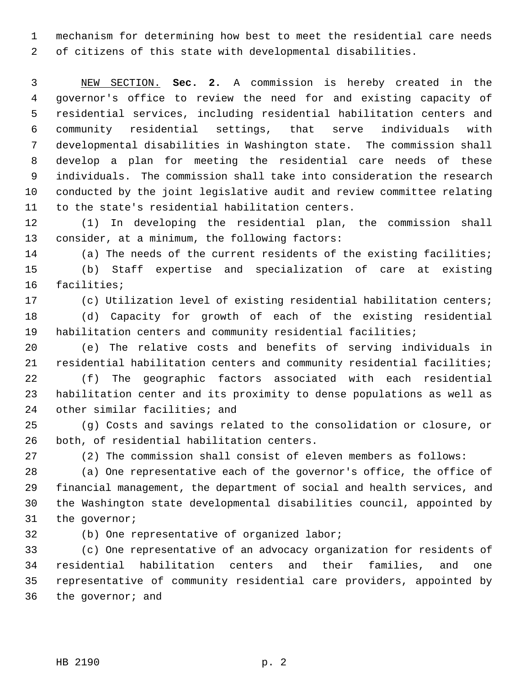mechanism for determining how best to meet the residential care needs of citizens of this state with developmental disabilities.

 NEW SECTION. **Sec. 2.** A commission is hereby created in the governor's office to review the need for and existing capacity of residential services, including residential habilitation centers and community residential settings, that serve individuals with developmental disabilities in Washington state. The commission shall develop a plan for meeting the residential care needs of these individuals. The commission shall take into consideration the research conducted by the joint legislative audit and review committee relating to the state's residential habilitation centers.

 (1) In developing the residential plan, the commission shall consider, at a minimum, the following factors:

 (a) The needs of the current residents of the existing facilities; (b) Staff expertise and specialization of care at existing facilities;

(c) Utilization level of existing residential habilitation centers;

 (d) Capacity for growth of each of the existing residential habilitation centers and community residential facilities;

 (e) The relative costs and benefits of serving individuals in residential habilitation centers and community residential facilities;

 (f) The geographic factors associated with each residential habilitation center and its proximity to dense populations as well as other similar facilities; and

 (g) Costs and savings related to the consolidation or closure, or both, of residential habilitation centers.

(2) The commission shall consist of eleven members as follows:

 (a) One representative each of the governor's office, the office of financial management, the department of social and health services, and the Washington state developmental disabilities council, appointed by the governor;

(b) One representative of organized labor;

 (c) One representative of an advocacy organization for residents of residential habilitation centers and their families, and one representative of community residential care providers, appointed by the governor; and